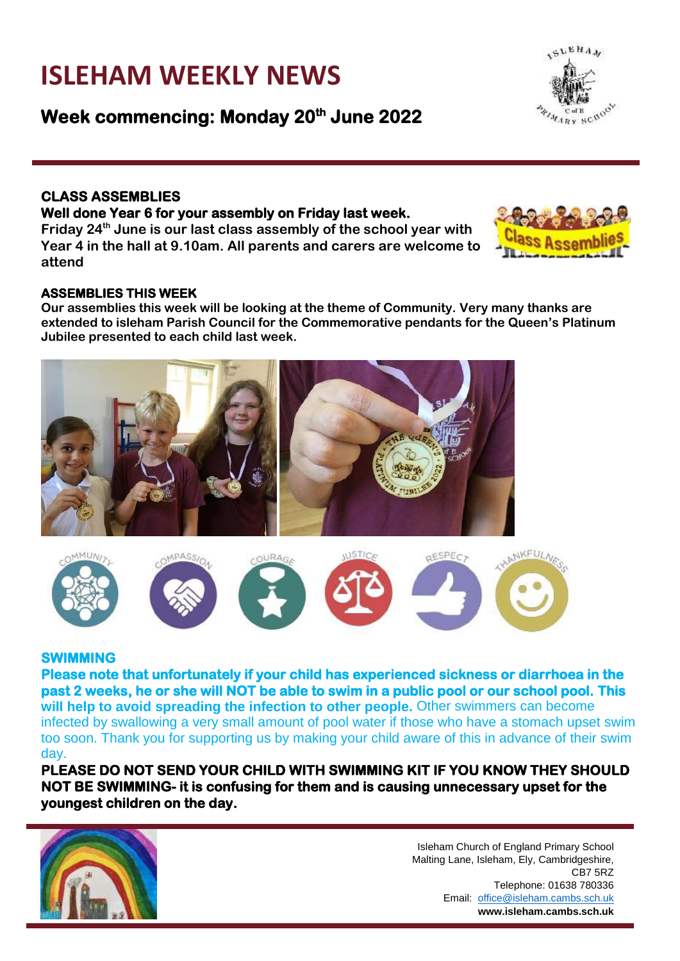# **ISLEHAM WEEKLY NEWS**

**Week commencing: Monday 20th June 2022** 

### **CLASS ASSEMBLIES**

#### **Well done Year 6 for your assembly on Friday last week.**

**Friday 24th June is our last class assembly of the school year with Year 4 in the hall at 9.10am. All parents and carers are welcome to attend**

#### **ASSEMBLIES THIS WEEK**

**Our assemblies this week will be looking at the theme of Community. Very many thanks are extended to isleham Parish Council for the Commemorative pendants for the Queen's Platinum Jubilee presented to each child last week.**

**SWIMMING** 

**Please note that unfortunately if your child has experienced sickness or diarrhoea in the past 2 weeks, he or she will NOT be able to swim in a public pool or our school pool. This will help to avoid spreading the infection to other people.** Other swimmers can become infected by swallowing a very small amount of pool water if those who have a stomach upset swim too soon. Thank you for supporting us by making your child aware of this in advance of their swim day.

**PLEASE DO NOT SEND YOUR CHILD WITH SWIMMING KIT IF YOU KNOW THEY SHOULD NOT BE SWIMMING- it is confusing for them and is causing unnecessary upset for the youngest children on the day.** 



**QESPECT** 

CB7 5RZ





NKFUL







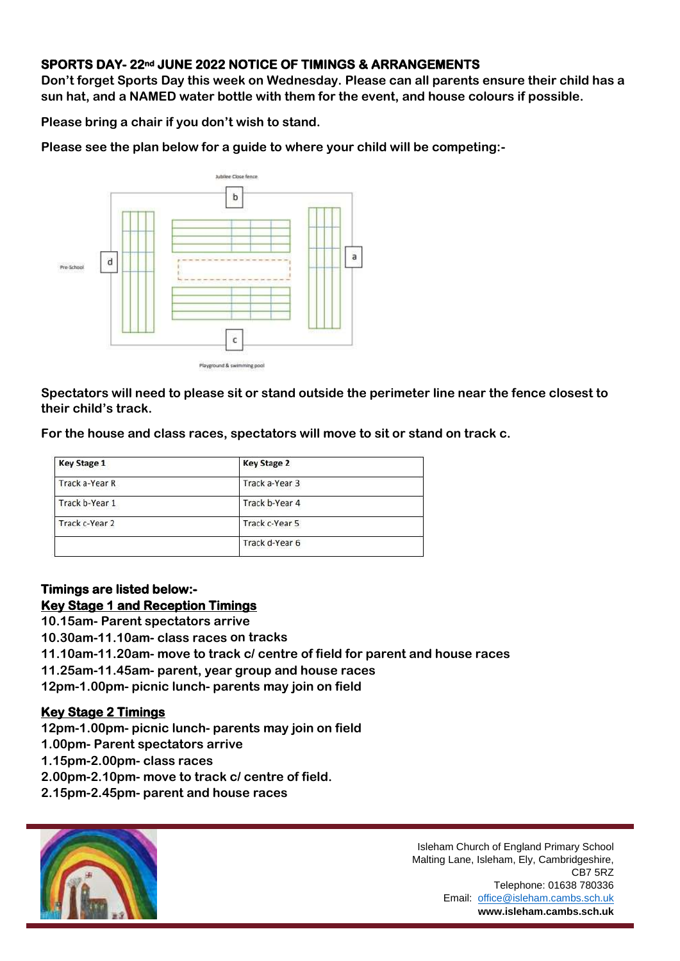### **SPORTS DAY- 22nd JUNE 2022 NOTICE OF TIMINGS & ARRANGEMENTS**

**Don't forget Sports Day this week on Wednesday. Please can all parents ensure their child has a sun hat, and a NAMED water bottle with them for the event, and house colours if possible.**

**Please bring a chair if you don't wish to stand.**

**Please see the plan below for a guide to where your child will be competing:-**



Playground & swimming pool

**Spectators will need to please sit or stand outside the perimeter line near the fence closest to their child's track.**

**For the house and class races, spectators will move to sit or stand on track c.**

| <b>Key Stage 1</b> | <b>Key Stage 2</b> |  |
|--------------------|--------------------|--|
| Track a-Year R     | Track a-Year 3     |  |
| Track b-Year 1     | Track b-Year 4     |  |
| Track c-Year 2     | Track c-Year 5     |  |
|                    | Track d-Year 6     |  |

# **Timings are listed below:- Key Stage 1 and Reception Timings**

**10.15am- Parent spectators arrive**

**10.30am-11.10am- class races on tracks**

**11.10am-11.20am- move to track c/ centre of field for parent and house races**

**11.25am-11.45am- parent, year group and house races**

**12pm-1.00pm- picnic lunch- parents may join on field**

#### **Key Stage 2 Timings**

**12pm-1.00pm- picnic lunch- parents may join on field** 

**1.00pm- Parent spectators arrive**

**1.15pm-2.00pm- class races**

**2.00pm-2.10pm- move to track c/ centre of field.**

**2.15pm-2.45pm- parent and house races**



Isleham Church of England Primary School Malting Lane, Isleham, Ely, Cambridgeshire, CB7 5RZ Telephone: 01638 780336 Email: office@isleham.cambs.sch.uk **www.isleham.cambs.sch.uk**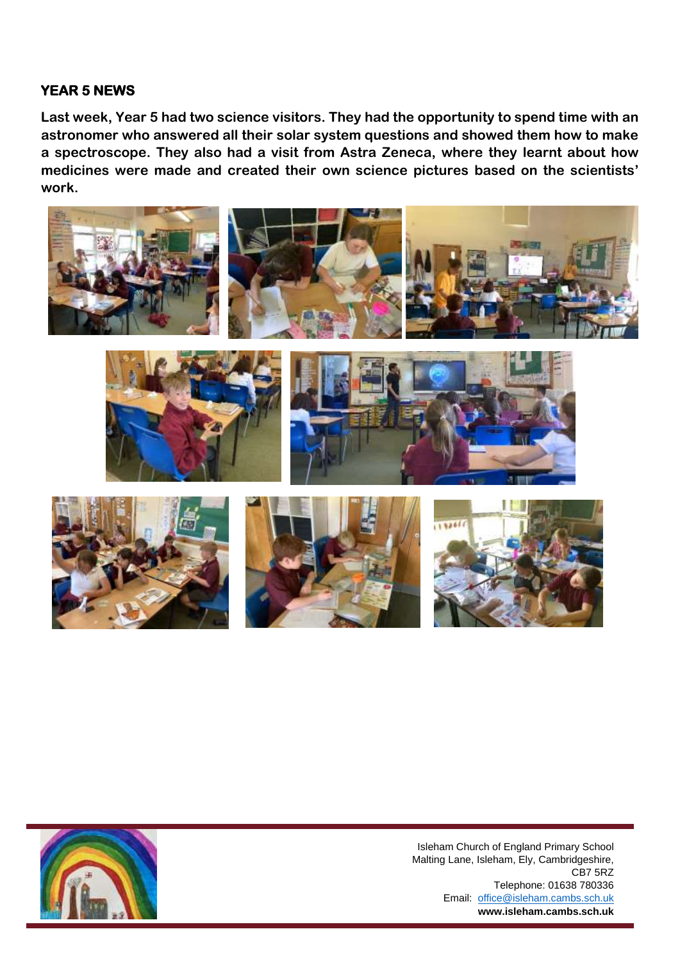# **YEAR 5 NEWS**

**Last week, Year 5 had two science visitors. They had the opportunity to spend time with an astronomer who answered all their solar system questions and showed them how to make a spectroscope. They also had a visit from Astra Zeneca, where they learnt about how medicines were made and created their own science pictures based on the scientists' work.**









Isleham Church of England Primary School Malting Lane, Isleham, Ely, Cambridgeshire, CB7 5RZ Telephone: 01638 780336 Email: office@isleham.cambs.sch.uk **www.isleham.cambs.sch.uk**